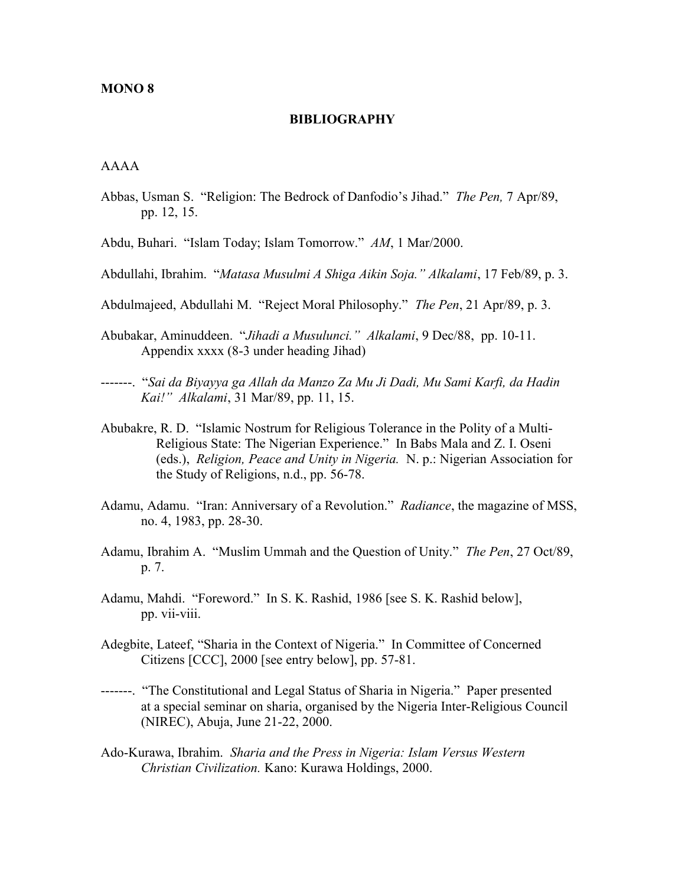#### **MONO 8**

#### **BIBLIOGRAPHY**

## AAAA

- Abbas, Usman S. "Religion: The Bedrock of Danfodio's Jihad." *The Pen,* 7 Apr/89, pp. 12, 15.
- Abdu, Buhari. "Islam Today; Islam Tomorrow." *AM*, 1 Mar/2000.
- Abdullahi, Ibrahim. "*Matasa Musulmi A Shiga Aikin Soja." Alkalami*, 17 Feb/89, p. 3.
- Abdulmajeed, Abdullahi M. "Reject Moral Philosophy." *The Pen*, 21 Apr/89, p. 3.
- Abubakar, Aminuddeen. "*Jihadi a Musulunci." Alkalami*, 9 Dec/88, pp. 10-11. Appendix xxxx (8-3 under heading Jihad)
- -------. "*Sai da Biyayya ga Allah da Manzo Za Mu Ji Dadi, Mu Sami Karfi, da Hadin Kai!" Alkalami*, 31 Mar/89, pp. 11, 15.
- Abubakre, R. D. "Islamic Nostrum for Religious Tolerance in the Polity of a Multi-Religious State: The Nigerian Experience." In Babs Mala and Z. I. Oseni (eds.), *Religion, Peace and Unity in Nigeria.* N. p.: Nigerian Association for the Study of Religions, n.d., pp. 56-78.
- Adamu, Adamu. "Iran: Anniversary of a Revolution." *Radiance*, the magazine of MSS, no. 4, 1983, pp. 28-30.
- Adamu, Ibrahim A. "Muslim Ummah and the Question of Unity." *The Pen*, 27 Oct/89, p. 7.
- Adamu, Mahdi. "Foreword." In S. K. Rashid, 1986 [see S. K. Rashid below], pp. vii-viii.
- Adegbite, Lateef, "Sharia in the Context of Nigeria." In Committee of Concerned Citizens [CCC], 2000 [see entry below], pp. 57-81.
- -------. "The Constitutional and Legal Status of Sharia in Nigeria." Paper presented at a special seminar on sharia, organised by the Nigeria Inter-Religious Council (NIREC), Abuja, June 21-22, 2000.
- Ado-Kurawa, Ibrahim. *Sharia and the Press in Nigeria: Islam Versus Western Christian Civilization.* Kano: Kurawa Holdings, 2000.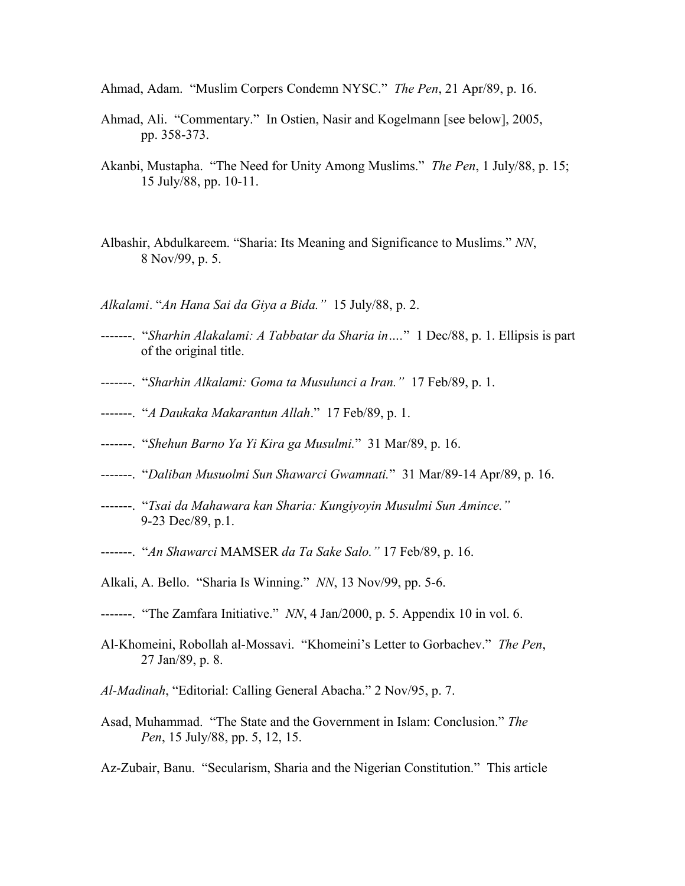- Ahmad, Adam. "Muslim Corpers Condemn NYSC." *The Pen*, 21 Apr/89, p. 16.
- Ahmad, Ali. "Commentary." In Ostien, Nasir and Kogelmann [see below], 2005, pp. 358-373.
- Akanbi, Mustapha. "The Need for Unity Among Muslims." *The Pen*, 1 July/88, p. 15; 15 July/88, pp. 10-11.
- Albashir, Abdulkareem. "Sharia: Its Meaning and Significance to Muslims." *NN*, 8 Nov/99, p. 5.
- *Alkalami*. "*An Hana Sai da Giya a Bida."* 15 July/88, p. 2.
- -------. "*Sharhin Alakalami: A Tabbatar da Sharia in….*" 1 Dec/88, p. 1. Ellipsis is part of the original title.
- -------. "*Sharhin Alkalami: Goma ta Musulunci a Iran."* 17 Feb/89, p. 1.
- -------. "*A Daukaka Makarantun Allah*." 17 Feb/89, p. 1.
- -------. "*Shehun Barno Ya Yi Kira ga Musulmi.*" 31 Mar/89, p. 16.
- -------. "*Daliban Musuolmi Sun Shawarci Gwamnati.*" 31 Mar/89-14 Apr/89, p. 16.
- -------. "*Tsai da Mahawara kan Sharia: Kungiyoyin Musulmi Sun Amince."*  9-23 Dec/89, p.1.
- -------. "*An Shawarci* MAMSER *da Ta Sake Salo."* 17 Feb/89, p. 16.
- Alkali, A. Bello. "Sharia Is Winning." *NN*, 13 Nov/99, pp. 5-6.
- -------. "The Zamfara Initiative." *NN*, 4 Jan/2000, p. 5. Appendix 10 in vol. 6.
- Al-Khomeini, Robollah al-Mossavi. "Khomeini's Letter to Gorbachev." *The Pen*, 27 Jan/89, p. 8.
- *Al-Madinah*, "Editorial: Calling General Abacha." 2 Nov/95, p. 7.
- Asad, Muhammad. "The State and the Government in Islam: Conclusion." *The Pen*, 15 July/88, pp. 5, 12, 15.
- Az-Zubair, Banu. "Secularism, Sharia and the Nigerian Constitution." This article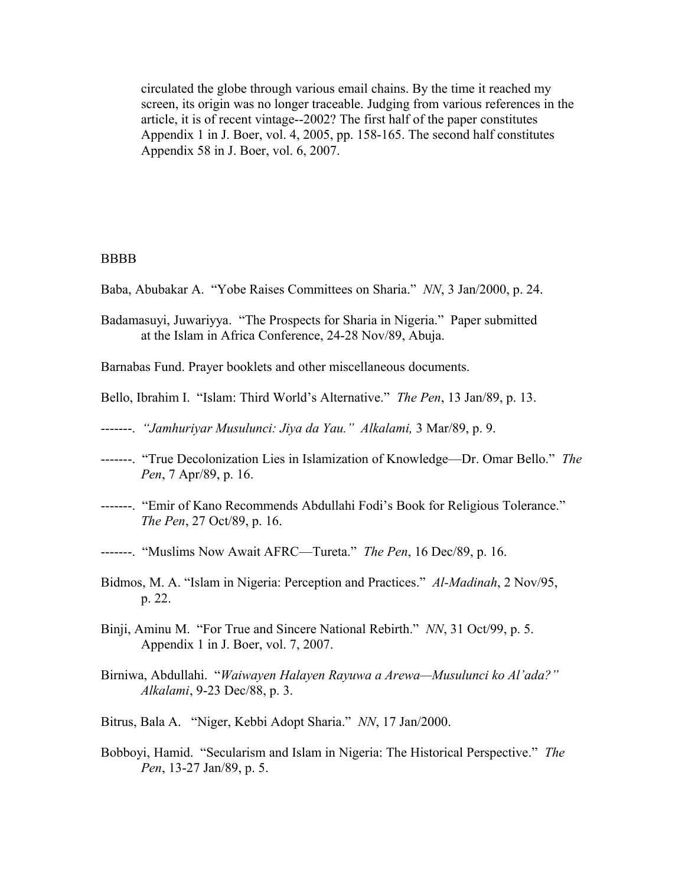circulated the globe through various email chains. By the time it reached my screen, its origin was no longer traceable. Judging from various references in the article, it is of recent vintage--2002? The first half of the paper constitutes Appendix 1 in J. Boer, vol. 4, 2005, pp. 158-165. The second half constitutes Appendix 58 in J. Boer, vol. 6, 2007.

#### BBBB

- Baba, Abubakar A. "Yobe Raises Committees on Sharia." *NN*, 3 Jan/2000, p. 24.
- Badamasuyi, Juwariyya. "The Prospects for Sharia in Nigeria." Paper submitted at the Islam in Africa Conference, 24-28 Nov/89, Abuja.

Barnabas Fund. Prayer booklets and other miscellaneous documents.

- Bello, Ibrahim I. "Islam: Third World's Alternative." *The Pen*, 13 Jan/89, p. 13.
- -------. *"Jamhuriyar Musulunci: Jiya da Yau." Alkalami,* 3 Mar/89, p. 9.
- -------. "True Decolonization Lies in Islamization of Knowledge—Dr. Omar Bello." *The Pen*, 7 Apr/89, p. 16.
- -------. "Emir of Kano Recommends Abdullahi Fodi's Book for Religious Tolerance." *The Pen*, 27 Oct/89, p. 16.
- -------. "Muslims Now Await AFRC—Tureta." *The Pen*, 16 Dec/89, p. 16.
- Bidmos, M. A. "Islam in Nigeria: Perception and Practices." *Al-Madinah*, 2 Nov/95, p. 22.
- Binji, Aminu M. "For True and Sincere National Rebirth." *NN*, 31 Oct/99, p. 5. Appendix 1 in J. Boer, vol. 7, 2007.
- Birniwa, Abdullahi. "*Waiwayen Halayen Rayuwa a Arewa—Musulunci ko Al'ada?" Alkalami*, 9-23 Dec/88, p. 3.
- Bitrus, Bala A. "Niger, Kebbi Adopt Sharia." *NN*, 17 Jan/2000.
- Bobboyi, Hamid. "Secularism and Islam in Nigeria: The Historical Perspective." *The Pen*, 13-27 Jan/89, p. 5.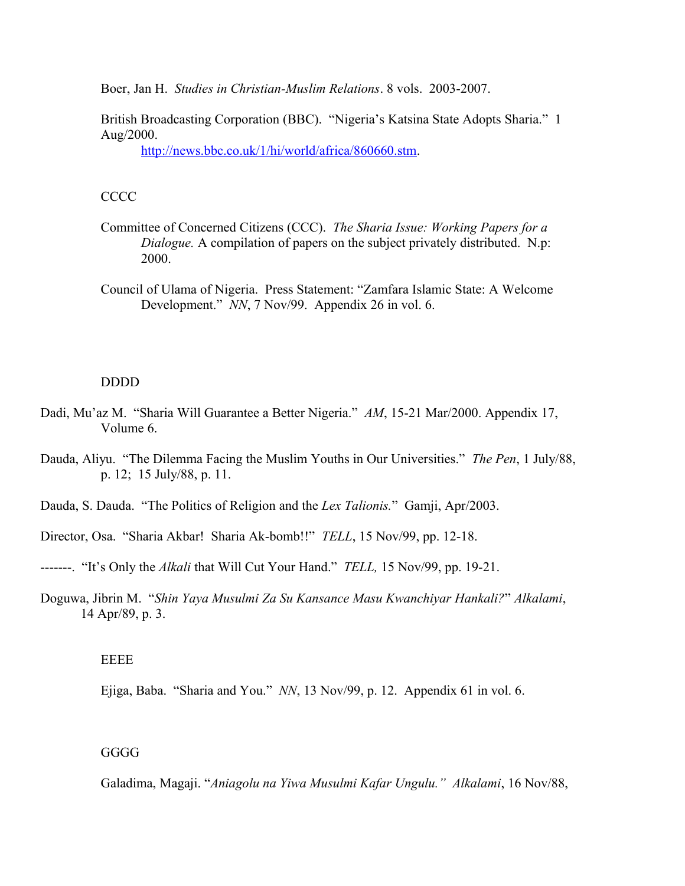Boer, Jan H. *Studies in Christian-Muslim Relations*. 8 vols. 2003-2007.

British Broadcasting Corporation (BBC). "Nigeria's Katsina State Adopts Sharia." 1 Aug/2000.

[http://news.bbc.co.uk/1/hi/world/africa/860660.stm.](http://news.bbc.co.uk/1/hi/world/africa/860660.stm)

# **CCCC**

- Committee of Concerned Citizens (CCC). *The Sharia Issue: Working Papers for a Dialogue.* A compilation of papers on the subject privately distributed. N.p: 2000.
- Council of Ulama of Nigeria. Press Statement: "Zamfara Islamic State: A Welcome Development." *NN*, 7 Nov/99. Appendix 26 in vol. 6.

#### DDDD

- Dadi, Mu'az M. "Sharia Will Guarantee a Better Nigeria." *AM*, 15-21 Mar/2000. Appendix 17, Volume 6.
- Dauda, Aliyu. "The Dilemma Facing the Muslim Youths in Our Universities." *The Pen*, 1 July/88, p. 12; 15 July/88, p. 11.
- Dauda, S. Dauda. "The Politics of Religion and the *Lex Talionis.*" Gamji, Apr/2003.
- Director, Osa. "Sharia Akbar! Sharia Ak-bomb!!" *TELL*, 15 Nov/99, pp. 12-18.
- -------. "It's Only the *Alkali* that Will Cut Your Hand." *TELL,* 15 Nov/99, pp. 19-21.
- Doguwa, Jibrin M. "*Shin Yaya Musulmi Za Su Kansance Masu Kwanchiyar Hankali?*" *Alkalami*, 14 Apr/89, p. 3.

EEEE

Ejiga, Baba. "Sharia and You." *NN*, 13 Nov/99, p. 12. Appendix 61 in vol. 6.

GGGG

Galadima, Magaji. "*Aniagolu na Yiwa Musulmi Kafar Ungulu." Alkalami*, 16 Nov/88,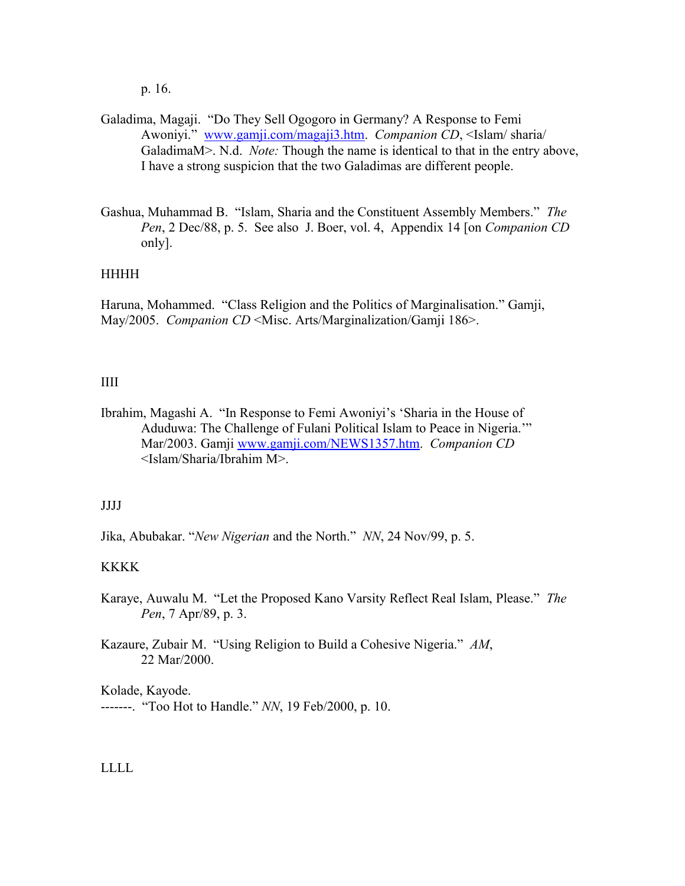p. 16.

- Galadima, Magaji. "Do They Sell Ogogoro in Germany? A Response to Femi Awoniyi." [www.gamji.com/magaji3.htm.](http://www.gamji.com/magaji3.htm) *Companion CD*, <Islam/ sharia/ GaladimaM>. N.d. *Note:* Though the name is identical to that in the entry above, I have a strong suspicion that the two Galadimas are different people.
- Gashua, Muhammad B. "Islam, Sharia and the Constituent Assembly Members." *The Pen*, 2 Dec/88, p. 5. See also J. Boer, vol. 4, Appendix 14 [on *Companion CD* only].

## HHHH

Haruna, Mohammed. "Class Religion and the Politics of Marginalisation." Gamji, May/2005. *Companion CD* <Misc. Arts/Marginalization/Gamji 186>.

## IIII

Ibrahim, Magashi A. "In Response to Femi Awoniyi's 'Sharia in the House of Aduduwa: The Challenge of Fulani Political Islam to Peace in Nigeria.'" Mar/2003. Gamji [www.gamji.com/NEWS1357.htm.](http://www.gamji.com/NEWS1357.htm) *Companion CD* <Islam/Sharia/Ibrahim M>.

#### JJJJ

Jika, Abubakar. "*New Nigerian* and the North." *NN*, 24 Nov/99, p. 5.

# KKKK

Karaye, Auwalu M. "Let the Proposed Kano Varsity Reflect Real Islam, Please." *The Pen*, 7 Apr/89, p. 3.

Kazaure, Zubair M. "Using Religion to Build a Cohesive Nigeria." *AM*, 22 Mar/2000.

Kolade, Kayode. -------. "Too Hot to Handle." *NN*, 19 Feb/2000, p. 10.

#### LLLL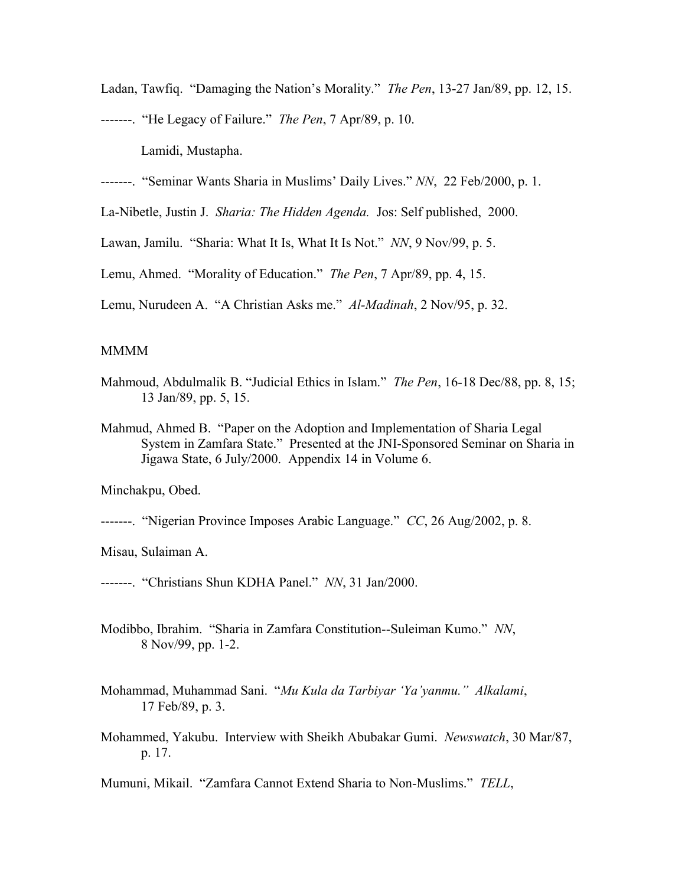Ladan, Tawfiq. "Damaging the Nation's Morality." *The Pen*, 13-27 Jan/89, pp. 12, 15.

-------. "He Legacy of Failure." *The Pen*, 7 Apr/89, p. 10.

Lamidi, Mustapha.

-------. "Seminar Wants Sharia in Muslims' Daily Lives." *NN*, 22 Feb/2000, p. 1.

La-Nibetle, Justin J. *Sharia: The Hidden Agenda.* Jos: Self published, 2000.

Lawan, Jamilu. "Sharia: What It Is, What It Is Not." *NN*, 9 Nov/99, p. 5.

Lemu, Ahmed. "Morality of Education." *The Pen*, 7 Apr/89, pp. 4, 15.

Lemu, Nurudeen A. "A Christian Asks me." *Al-Madinah*, 2 Nov/95, p. 32.

#### MMMM

- Mahmoud, Abdulmalik B. "Judicial Ethics in Islam." *The Pen*, 16-18 Dec/88, pp. 8, 15; 13 Jan/89, pp. 5, 15.
- Mahmud, Ahmed B. "Paper on the Adoption and Implementation of Sharia Legal System in Zamfara State." Presented at the JNI-Sponsored Seminar on Sharia in Jigawa State, 6 July/2000. Appendix 14 in Volume 6.

Minchakpu, Obed.

-------. "Nigerian Province Imposes Arabic Language." *CC*, 26 Aug/2002, p. 8.

Misau, Sulaiman A.

-------. "Christians Shun KDHA Panel." *NN*, 31 Jan/2000.

- Modibbo, Ibrahim. "Sharia in Zamfara Constitution--Suleiman Kumo." *NN*, 8 Nov/99, pp. 1-2.
- Mohammad, Muhammad Sani. "*Mu Kula da Tarbiyar 'Ya'yanmu." Alkalami*, 17 Feb/89, p. 3.
- Mohammed, Yakubu. Interview with Sheikh Abubakar Gumi. *Newswatch*, 30 Mar/87, p. 17.

Mumuni, Mikail. "Zamfara Cannot Extend Sharia to Non-Muslims." *TELL*,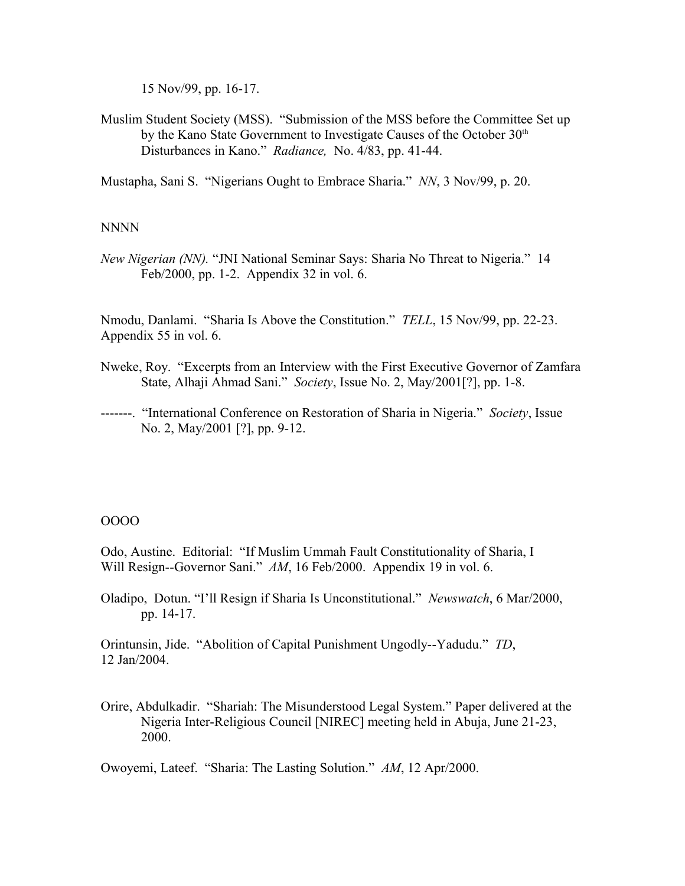15 Nov/99, pp. 16-17.

Muslim Student Society (MSS). "Submission of the MSS before the Committee Set up by the Kano State Government to Investigate Causes of the October  $30<sup>th</sup>$ Disturbances in Kano." *Radiance,* No. 4/83, pp. 41-44.

Mustapha, Sani S. "Nigerians Ought to Embrace Sharia." *NN*, 3 Nov/99, p. 20.

## NNNN

*New Nigerian (NN).* "JNI National Seminar Says: Sharia No Threat to Nigeria." 14 Feb/2000, pp. 1-2. Appendix 32 in vol. 6.

Nmodu, Danlami. "Sharia Is Above the Constitution." *TELL*, 15 Nov/99, pp. 22-23. Appendix 55 in vol. 6.

- Nweke, Roy. "Excerpts from an Interview with the First Executive Governor of Zamfara State, Alhaji Ahmad Sani." *Society*, Issue No. 2, May/2001[?], pp. 1-8.
- -------. "International Conference on Restoration of Sharia in Nigeria." *Society*, Issue No. 2, May/2001 [?], pp. 9-12.

# OOOO

Odo, Austine. Editorial: "If Muslim Ummah Fault Constitutionality of Sharia, I Will Resign--Governor Sani." *AM*, 16 Feb/2000. Appendix 19 in vol. 6.

Oladipo, Dotun. "I'll Resign if Sharia Is Unconstitutional." *Newswatch*, 6 Mar/2000, pp. 14-17.

Orintunsin, Jide. "Abolition of Capital Punishment Ungodly--Yadudu." *TD*, 12 Jan/2004.

Orire, Abdulkadir. "Shariah: The Misunderstood Legal System." Paper delivered at the Nigeria Inter-Religious Council [NIREC] meeting held in Abuja, June 21-23, 2000.

Owoyemi, Lateef. "Sharia: The Lasting Solution." *AM*, 12 Apr/2000.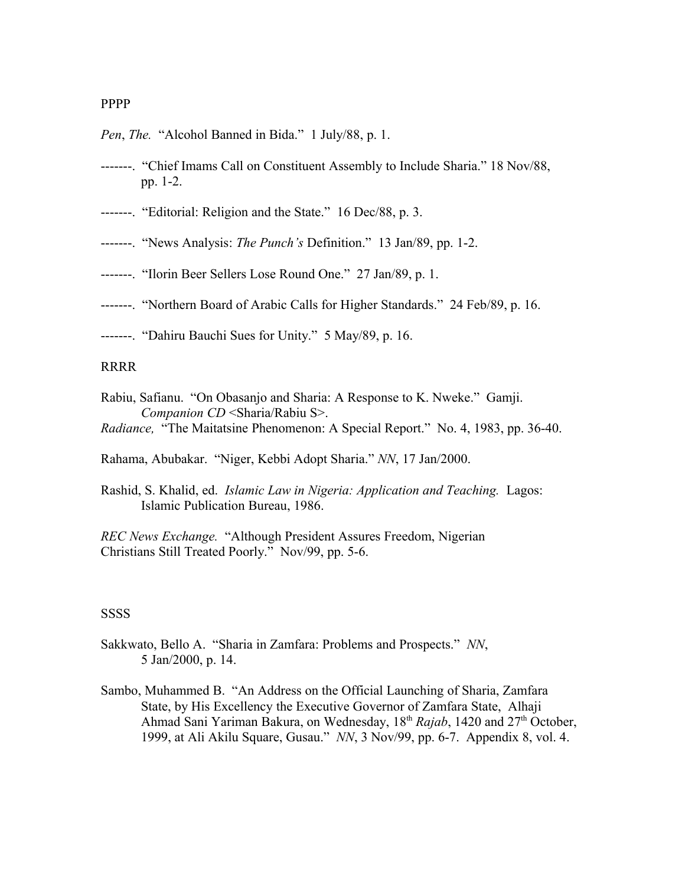#### PPPP

- *Pen*, *The.* "Alcohol Banned in Bida." 1 July/88, p. 1.
- -------. "Chief Imams Call on Constituent Assembly to Include Sharia." 18 Nov/88, pp. 1-2.
- -------. "Editorial: Religion and the State." 16 Dec/88, p. 3.
- -------. "News Analysis: *The Punch's* Definition." 13 Jan/89, pp. 1-2.
- -------. "Ilorin Beer Sellers Lose Round One." 27 Jan/89, p. 1.
- -------. "Northern Board of Arabic Calls for Higher Standards." 24 Feb/89, p. 16.
- -------. "Dahiru Bauchi Sues for Unity." 5 May/89, p. 16.

#### **RRRR**

- Rabiu, Safianu. "On Obasanjo and Sharia: A Response to K. Nweke." Gamji. *Companion CD* <Sharia/Rabiu S>.
- *Radiance,* "The Maitatsine Phenomenon: A Special Report." No. 4, 1983, pp. 36-40.

Rahama, Abubakar. "Niger, Kebbi Adopt Sharia." *NN*, 17 Jan/2000.

Rashid, S. Khalid, ed. *Islamic Law in Nigeria: Application and Teaching.* Lagos: Islamic Publication Bureau, 1986.

*REC News Exchange.* "Although President Assures Freedom, Nigerian Christians Still Treated Poorly." Nov/99, pp. 5-6.

#### **SSSS**

- Sakkwato, Bello A. "Sharia in Zamfara: Problems and Prospects." *NN*, 5 Jan/2000, p. 14.
- Sambo, Muhammed B. "An Address on the Official Launching of Sharia, Zamfara State, by His Excellency the Executive Governor of Zamfara State, Alhaji Ahmad Sani Yariman Bakura, on Wednesday, 18<sup>th</sup> *Rajab*, 1420 and 27<sup>th</sup> October, 1999, at Ali Akilu Square, Gusau." *NN*, 3 Nov/99, pp. 6-7. Appendix 8, vol. 4.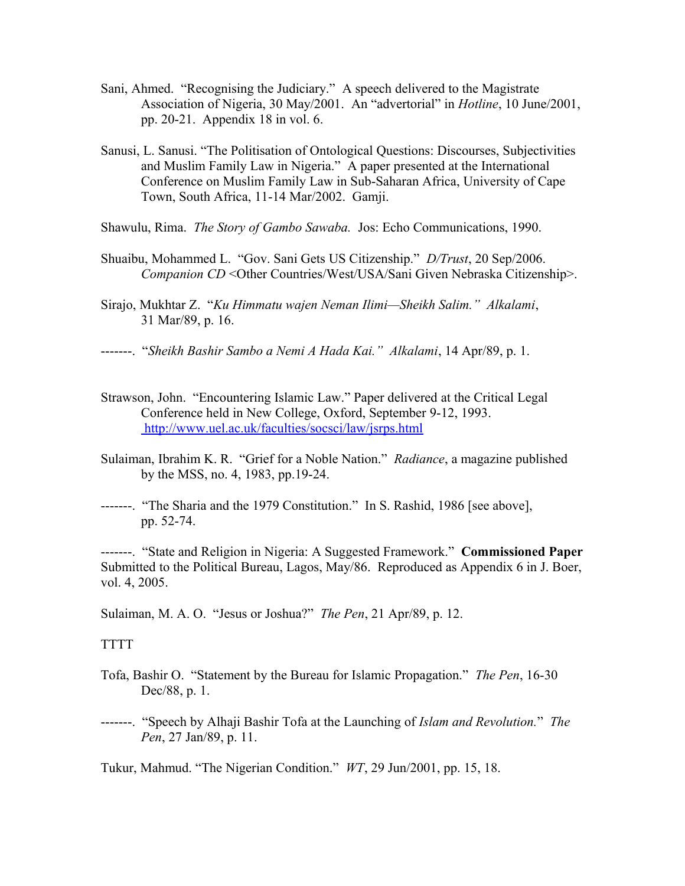- Sani, Ahmed. "Recognising the Judiciary." A speech delivered to the Magistrate Association of Nigeria, 30 May/2001. An "advertorial" in *Hotline*, 10 June/2001, pp. 20-21. Appendix 18 in vol. 6.
- Sanusi, L. Sanusi. "The Politisation of Ontological Questions: Discourses, Subjectivities and Muslim Family Law in Nigeria." A paper presented at the International Conference on Muslim Family Law in Sub-Saharan Africa, University of Cape Town, South Africa, 11-14 Mar/2002. Gamji.
- Shawulu, Rima. *The Story of Gambo Sawaba.* Jos: Echo Communications, 1990.
- Shuaibu, Mohammed L. "Gov. Sani Gets US Citizenship." *D/Trust*, 20 Sep/2006. *Companion CD* <Other Countries/West/USA/Sani Given Nebraska Citizenship>.
- Sirajo, Mukhtar Z. "*Ku Himmatu wajen Neman Ilimi—Sheikh Salim." Alkalami*, 31 Mar/89, p. 16.
- -------. "*Sheikh Bashir Sambo a Nemi A Hada Kai." Alkalami*, 14 Apr/89, p. 1.
- Strawson, John. "Encountering Islamic Law." Paper delivered at the Critical Legal Conference held in New College, Oxford, September 9-12, 1993. <http://www.uel.ac.uk/faculties/socsci/law/jsrps.html>
- Sulaiman, Ibrahim K. R. "Grief for a Noble Nation." *Radiance*, a magazine published by the MSS, no. 4, 1983, pp.19-24.
- -------. "The Sharia and the 1979 Constitution." In S. Rashid, 1986 [see above], pp. 52-74.

-------. "State and Religion in Nigeria: A Suggested Framework." **Commissioned Paper** Submitted to the Political Bureau, Lagos, May/86. Reproduced as Appendix 6 in J. Boer, vol. 4, 2005.

Sulaiman, M. A. O. "Jesus or Joshua?" *The Pen*, 21 Apr/89, p. 12.

#### **TTTT**

- Tofa, Bashir O. "Statement by the Bureau for Islamic Propagation." *The Pen*, 16-30 Dec/88, p. 1.
- -------. "Speech by Alhaji Bashir Tofa at the Launching of *Islam and Revolution.*" *The Pen*, 27 Jan/89, p. 11.

Tukur, Mahmud. "The Nigerian Condition." *WT*, 29 Jun/2001, pp. 15, 18.